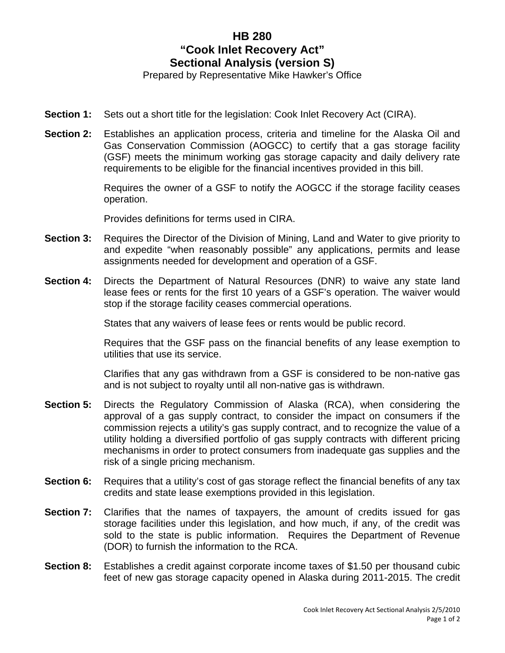## **HB 280 "Cook Inlet Recovery Act" Sectional Analysis (version S)**

Prepared by Representative Mike Hawker's Office

- **Section 1:** Sets out a short title for the legislation: Cook Inlet Recovery Act (CIRA).
- **Section 2:** Establishes an application process, criteria and timeline for the Alaska Oil and Gas Conservation Commission (AOGCC) to certify that a gas storage facility (GSF) meets the minimum working gas storage capacity and daily delivery rate requirements to be eligible for the financial incentives provided in this bill.

Requires the owner of a GSF to notify the AOGCC if the storage facility ceases operation.

Provides definitions for terms used in CIRA.

- **Section 3:** Requires the Director of the Division of Mining, Land and Water to give priority to and expedite "when reasonably possible" any applications, permits and lease assignments needed for development and operation of a GSF.
- **Section 4:** Directs the Department of Natural Resources (DNR) to waive any state land lease fees or rents for the first 10 years of a GSF's operation. The waiver would stop if the storage facility ceases commercial operations.

States that any waivers of lease fees or rents would be public record.

Requires that the GSF pass on the financial benefits of any lease exemption to utilities that use its service.

Clarifies that any gas withdrawn from a GSF is considered to be non-native gas and is not subject to royalty until all non-native gas is withdrawn.

- **Section 5:** Directs the Regulatory Commission of Alaska (RCA), when considering the approval of a gas supply contract, to consider the impact on consumers if the commission rejects a utility's gas supply contract, and to recognize the value of a utility holding a diversified portfolio of gas supply contracts with different pricing mechanisms in order to protect consumers from inadequate gas supplies and the risk of a single pricing mechanism.
- **Section 6:** Requires that a utility's cost of gas storage reflect the financial benefits of any tax credits and state lease exemptions provided in this legislation.
- **Section 7:** Clarifies that the names of taxpayers, the amount of credits issued for gas storage facilities under this legislation, and how much, if any, of the credit was sold to the state is public information. Requires the Department of Revenue (DOR) to furnish the information to the RCA.
- **Section 8:** Establishes a credit against corporate income taxes of \$1.50 per thousand cubic feet of new gas storage capacity opened in Alaska during 2011-2015. The credit